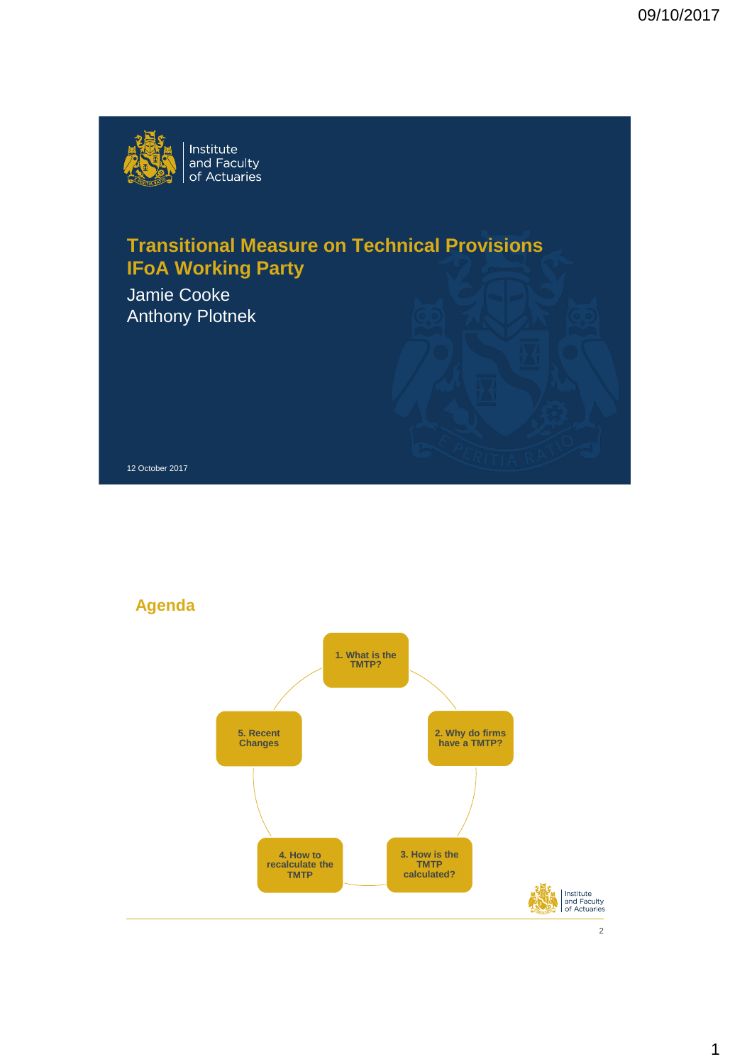

# **Transitional Measure on Technical Provisions IFoA Working Party**

Jamie Cooke Anthony Plotnek

12 October 2017

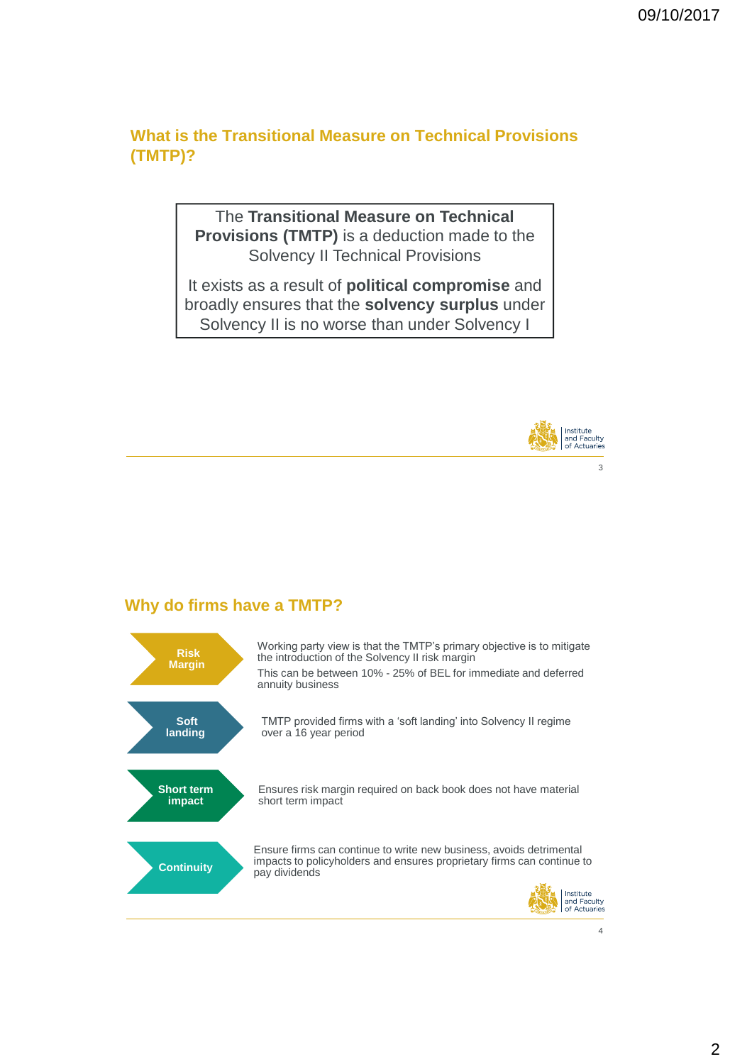**What is the Transitional Measure on Technical Provisions (TMTP)?**

> The **Transitional Measure on Technical Provisions (TMTP)** is a deduction made to the Solvency II Technical Provisions

It exists as a result of **political compromise** and broadly ensures that the **solvency surplus** under Solvency II is no worse than under Solvency I



### **Why do firms have a TMTP?**

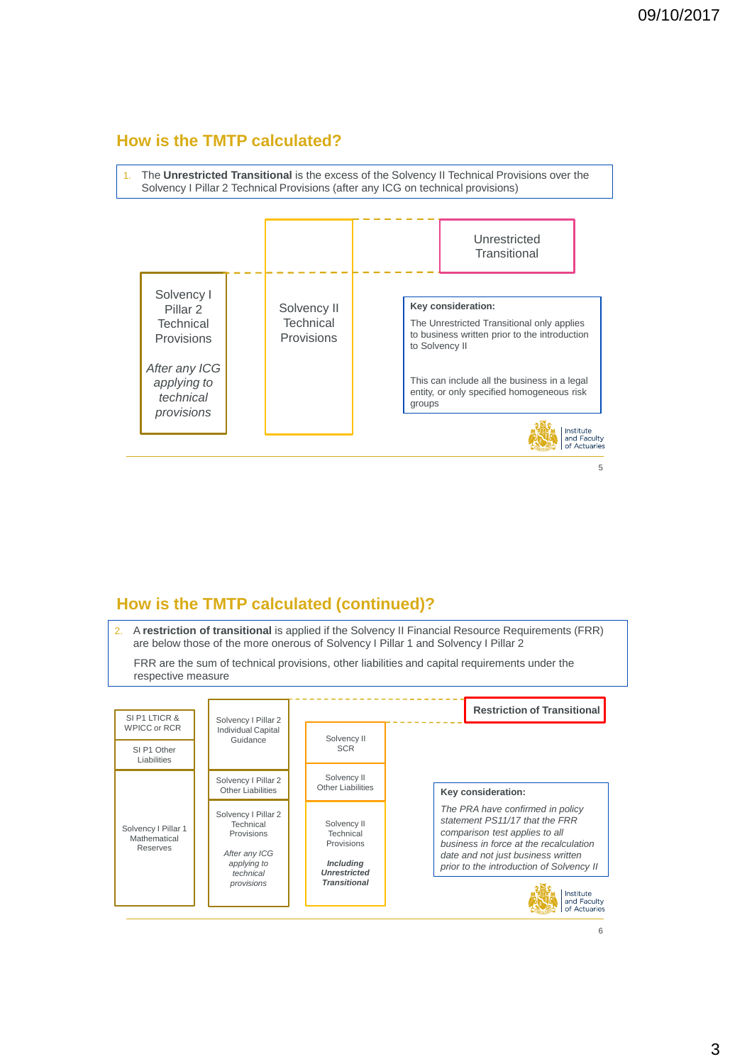### **How is the TMTP calculated?**



### **How is the TMTP calculated (continued)?**

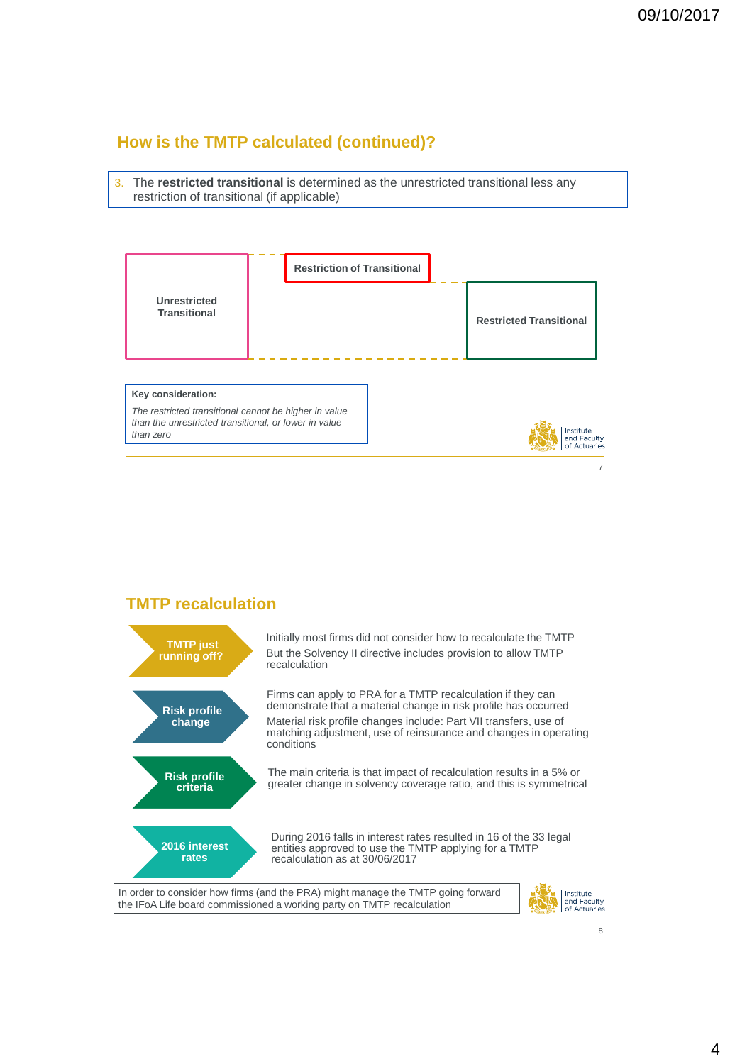### **How is the TMTP calculated (continued)?**

3. The **restricted transitional** is determined as the unrestricted transitional less any restriction of transitional (if applicable)



### **TMTP recalculation**

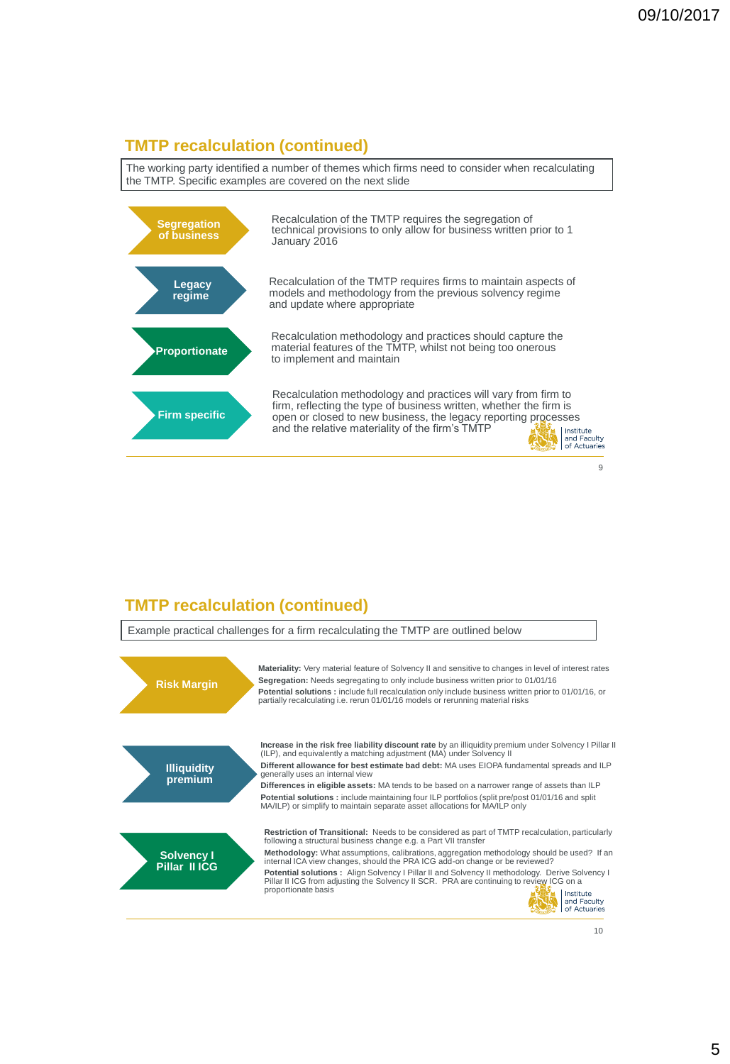# **TMTP recalculation (continued)**

The working party identified a number of themes which firms need to consider when recalculating the TMTP. Specific examples are covered on the next slide



### **TMTP recalculation (continued)**

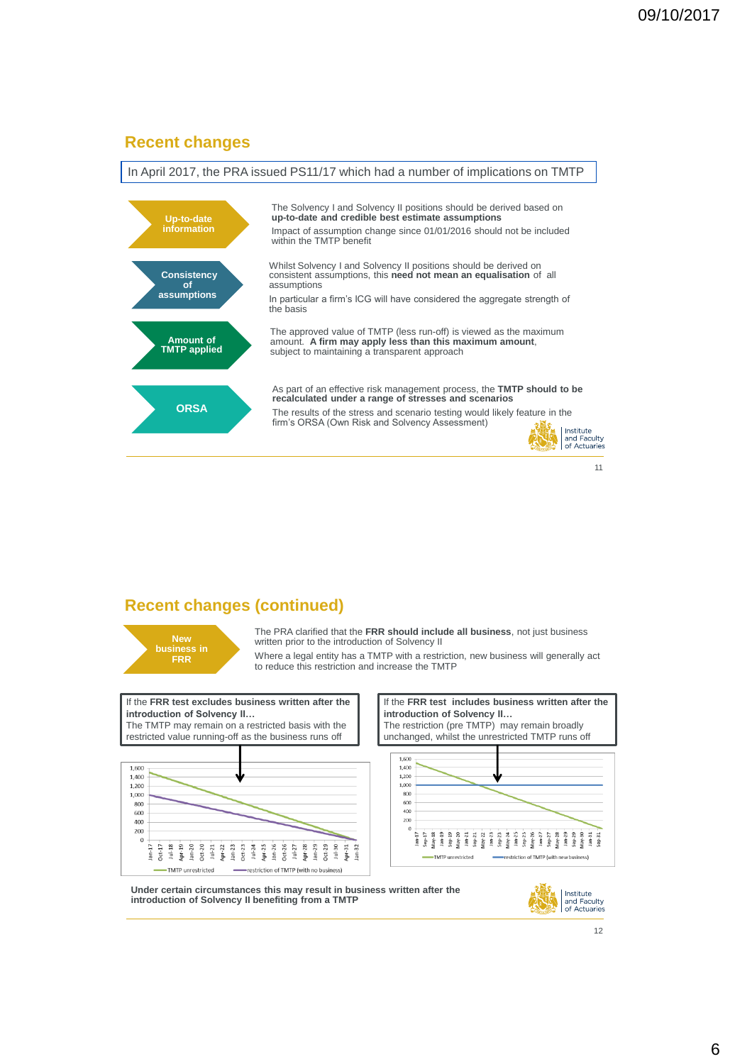#### **Recent changes**



### **Recent changes (continued)**

**New business in FRR**

The PRA clarified that the **FRR should include all business**, not just business written prior to the introduction of Solvency II

Where a legal entity has a TMTP with a restriction, new business will generally act to reduce this restriction and increase the TMTP





**Under certain circumstances this may result in business written after the introduction of Solvency II benefiting from a TMTP**

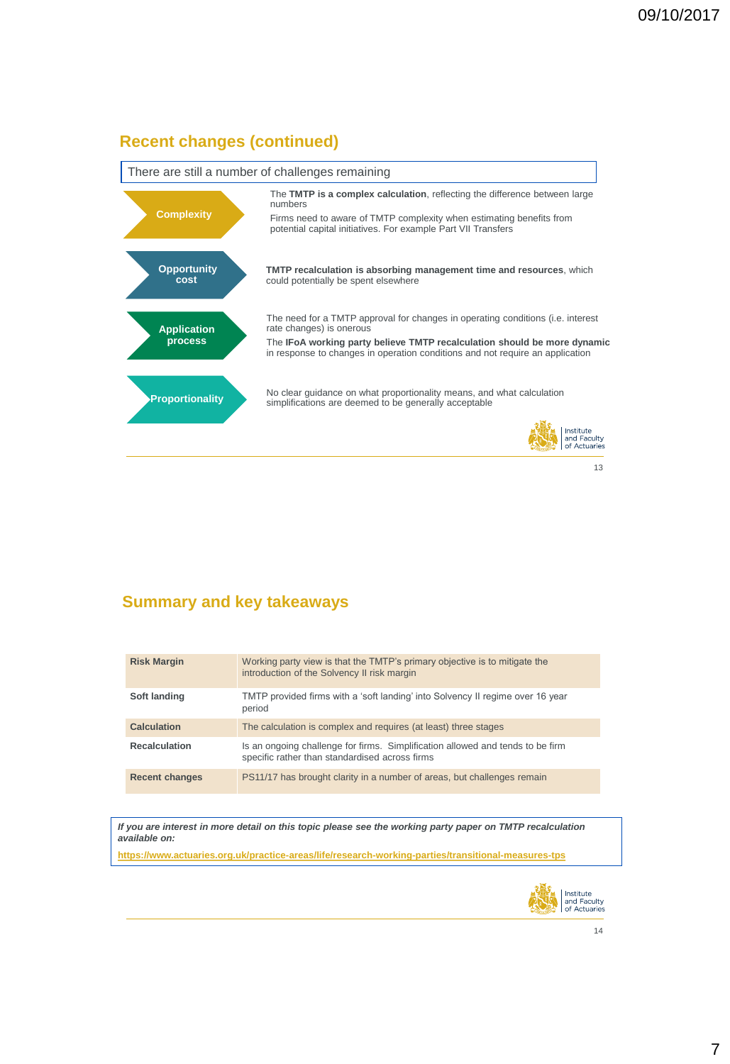## **Recent changes (continued)**



### **Summary and key takeaways**

| <b>Risk Margin</b>    | Working party view is that the TMTP's primary objective is to mitigate the<br>introduction of the Solvency II risk margin        |
|-----------------------|----------------------------------------------------------------------------------------------------------------------------------|
| Soft landing          | TMTP provided firms with a 'soft landing' into Solvency II regime over 16 year<br>period                                         |
| <b>Calculation</b>    | The calculation is complex and requires (at least) three stages                                                                  |
| <b>Recalculation</b>  | Is an ongoing challenge for firms. Simplification allowed and tends to be firm<br>specific rather than standardised across firms |
| <b>Recent changes</b> | PS11/17 has brought clarity in a number of areas, but challenges remain                                                          |

*If you are interest in more detail on this topic please see the working party paper on TMTP recalculation available on:*

**[https://www.actuaries.org.uk/practice-areas/life/research-working-parties/transitional-measures-tps](https://clicktime.symantec.com/a/1/qTYcmtOc7QQT-ukax2HAzXAf9ySMnFdIJpPiZo0uMq0=?d=beqvnF9VbetEdAWNA1eUWmINWUxfaNS5nXWQhTOTCreJedq_me_pQqHxatpjkW6GhrnwPY3kp01i9KjSYJq1t0IbY5nfn0LPGgwJQ6rUBK_K1HtJbTlFNTdWwGsnZeZsUZfE914-MxB9p--gPnVHjIzvJ0JL7f_sIXWnQZfBiNnThlB_WoxPgCPuIgN2n2t-x7xF4UP29Zi17JxepYKpPhlrE6Tm9Pn6LmQiRluvsFSdrtB27l_SeRVgVxx2tHOzxFZK3MzpIF8r4EKEZ-9V8tTEawxlcwZDM48jNKmpr_2Fb-Wf-7BlQi3FMSHxI-K4rCV9dzQscHqasN6dLRqNmKq-vHZFHX46-mWrEMSlleEWDmz63qYwoOP6G5AL&u=https://www.actuaries.org.uk/practice-areas/life/research-working-parties/transitional-measures-tps)**